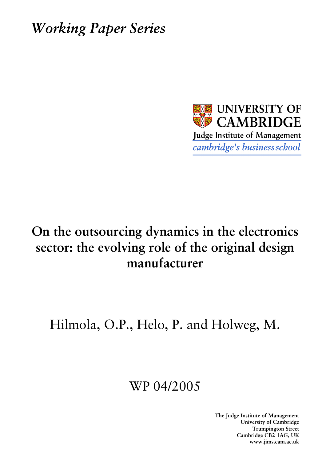**Working Paper Series** 



# On the outsourcing dynamics in the electronics sector: the evolving role of the original design manufacturer

Hilmola, O.P., Helo, P. and Holweg, M.

# WP 04/2005

The Judge Institute of Management University of Cambridge **Trumpington Street** Cambridge CB2 1AG, UK www.jims.cam.ac.uk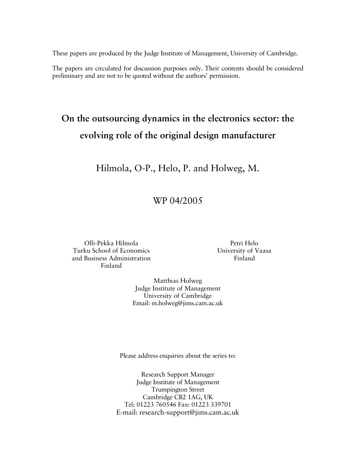These papers are produced by the Judge Institute of Management, University of Cambridge.

The papers are circulated for discussion purposes only. Their contents should be considered preliminary and are not to be quoted without the authors' permission.

# On the outsourcing dynamics in the electronics sector: the evolving role of the original design manufacturer

Hilmola, O-P., Helo, P. and Holweg, M.

# WP 04/2005

Olli-Pekka Hilmola Turku School of Economics and Business Administration Finland

Petri Helo University of Vaasa Finland

Matthias Holweg Judge Institute of Management University of Cambridge Email: m.holweg@jims.cam.ac.uk

Please address enquiries about the series to:

Research Support Manager Judge Institute of Management **Trumpington Street** Cambridge CB2 1AG, UK Tel: 01223 760546 Fax: 01223 339701 E-mail: research-support@jims.cam.ac.uk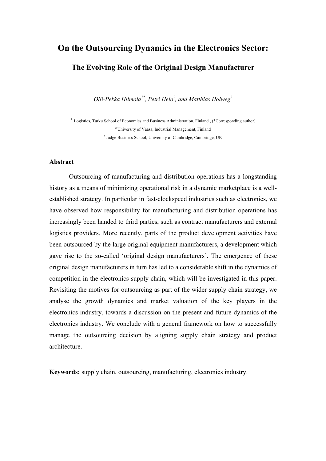# **On the Outsourcing Dynamics in the Electronics Sector: The Evolving Role of the Original Design Manufacturer**

*Olli-Pekka Hilmola1\*, Petri Helo2 , and Matthias Holweg<sup>3</sup>*

1 Logistics, Turku School of Economics and Business Administration, Finland , (\*Corresponding author) 2 University of Vaasa, Industrial Management, Finland 3 Judge Business School, University of Cambridge, Cambridge, UK

### **Abstract**

Outsourcing of manufacturing and distribution operations has a longstanding history as a means of minimizing operational risk in a dynamic marketplace is a wellestablished strategy. In particular in fast-clockspeed industries such as electronics, we have observed how responsibility for manufacturing and distribution operations has increasingly been handed to third parties, such as contract manufacturers and external logistics providers. More recently, parts of the product development activities have been outsourced by the large original equipment manufacturers, a development which gave rise to the so-called 'original design manufacturers'. The emergence of these original design manufacturers in turn has led to a considerable shift in the dynamics of competition in the electronics supply chain, which will be investigated in this paper. Revisiting the motives for outsourcing as part of the wider supply chain strategy, we analyse the growth dynamics and market valuation of the key players in the electronics industry, towards a discussion on the present and future dynamics of the electronics industry. We conclude with a general framework on how to successfully manage the outsourcing decision by aligning supply chain strategy and product architecture.

**Keywords:** supply chain, outsourcing, manufacturing, electronics industry.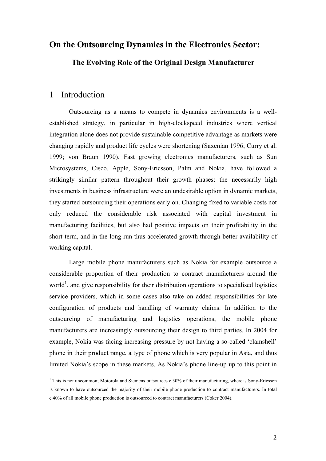## **On the Outsourcing Dynamics in the Electronics Sector:**

**The Evolving Role of the Original Design Manufacturer** 

## 1 Introduction

 $\overline{a}$ 

 Outsourcing as a means to compete in dynamics environments is a wellestablished strategy, in particular in high-clockspeed industries where vertical integration alone does not provide sustainable competitive advantage as markets were changing rapidly and product life cycles were shortening (Saxenian 1996; Curry et al. 1999; von Braun 1990). Fast growing electronics manufacturers, such as Sun Microsystems, Cisco, Apple, Sony-Ericsson, Palm and Nokia, have followed a strikingly similar pattern throughout their growth phases: the necessarily high investments in business infrastructure were an undesirable option in dynamic markets, they started outsourcing their operations early on. Changing fixed to variable costs not only reduced the considerable risk associated with capital investment in manufacturing facilities, but also had positive impacts on their profitability in the short-term, and in the long run thus accelerated growth through better availability of working capital.

Large mobile phone manufacturers such as Nokia for example outsource a considerable proportion of their production to contract manufacturers around the world<sup>1</sup>, and give responsibility for their distribution operations to specialised logistics service providers, which in some cases also take on added responsibilities for late configuration of products and handling of warranty claims. In addition to the outsourcing of manufacturing and logistics operations, the mobile phone manufacturers are increasingly outsourcing their design to third parties. In 2004 for example, Nokia was facing increasing pressure by not having a so-called 'clamshell' phone in their product range, a type of phone which is very popular in Asia, and thus limited Nokia's scope in these markets. As Nokia's phone line-up up to this point in

<sup>&</sup>lt;sup>1</sup> This is not uncommon; Motorola and Siemens outsources c.30% of their manufacturing, whereas Sony-Ericsson is known to have outsourced the majority of their mobile phone production to contract manufacturers. In total c.40% of all mobile phone production is outsourced to contract manufacturers (Coker 2004).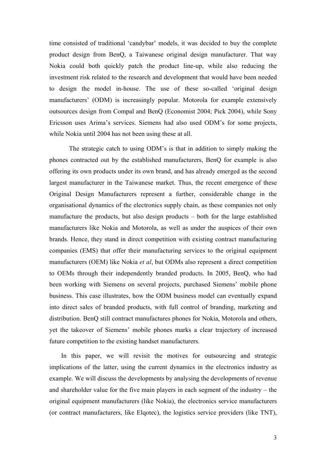time consisted of traditional 'candybar' models, it was decided to buy the complete product design from BenQ, a Taiwanese original design manufacturer. That way Nokia could both quickly patch the product line-up, while also reducing the investment risk related to the research and development that would have been needed to design the model in-house. The use of these so-called 'original design manufacturers' (ODM) is increasingly popular. Motorola for example extensively outsources design from Compal and BenQ (Economist 2004; Pick 2004), while Sony Ericsson uses Arima's services. Siemens had also used ODM's for some projects, while Nokia until 2004 has not been using these at all.

The strategic catch to using ODM's is that in addition to simply making the phones contracted out by the established manufacturers, BenQ for example is also offering its own products under its own brand, and has already emerged as the second largest manufacturer in the Taiwanese market. Thus, the recent emergence of these Original Design Manufacturers represent a further, considerable change in the organisational dynamics of the electronics supply chain, as these companies not only manufacture the products, but also design products – both for the large established manufacturers like Nokia and Motorola, as well as under the auspices of their own brands. Hence, they stand in direct competition with existing contract manufacturing companies (EMS) that offer their manufacturing services to the original equipment manufacturers (OEM) like Nokia *et al*, but ODMs also represent a direct competition to OEMs through their independently branded products. In 2005, BenQ, who had been working with Siemens on several projects, purchased Siemens' mobile phone business. This case illustrates, how the ODM business model can eventually expand into direct sales of branded products, with full control of branding, marketing and distribution. BenQ still contract manufactures phones for Nokia, Motorola and others, yet the takeover of Siemens' mobile phones marks a clear trajectory of increased future competition to the existing handset manufacturers.

In this paper, we will revisit the motives for outsourcing and strategic implications of the latter, using the current dynamics in the electronics industry as example. We will discuss the developments by analysing the developments of revenue and shareholder value for the five main players in each segment of the industry – the original equipment manufacturers (like Nokia), the electronics service manufacturers (or contract manufacturers, like Elqotec), the logistics service providers (like TNT),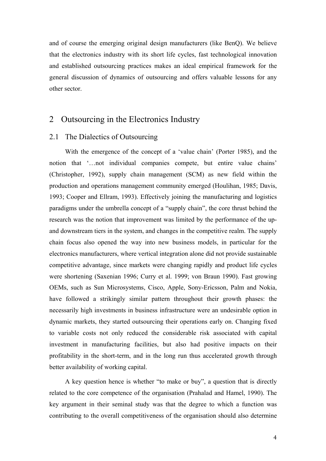and of course the emerging original design manufacturers (like BenQ). We believe that the electronics industry with its short life cycles, fast technological innovation and established outsourcing practices makes an ideal empirical framework for the general discussion of dynamics of outsourcing and offers valuable lessons for any other sector.

## 2 Outsourcing in the Electronics Industry

#### 2.1 The Dialectics of Outsourcing

With the emergence of the concept of a 'value chain' (Porter 1985), and the notion that '…not individual companies compete, but entire value chains' (Christopher, 1992), supply chain management (SCM) as new field within the production and operations management community emerged (Houlihan, 1985; Davis, 1993; Cooper and Ellram, 1993). Effectively joining the manufacturing and logistics paradigms under the umbrella concept of a "supply chain", the core thrust behind the research was the notion that improvement was limited by the performance of the upand downstream tiers in the system, and changes in the competitive realm. The supply chain focus also opened the way into new business models, in particular for the electronics manufacturers, where vertical integration alone did not provide sustainable competitive advantage, since markets were changing rapidly and product life cycles were shortening (Saxenian 1996; Curry et al. 1999; von Braun 1990). Fast growing OEMs, such as Sun Microsystems, Cisco, Apple, Sony-Ericsson, Palm and Nokia, have followed a strikingly similar pattern throughout their growth phases: the necessarily high investments in business infrastructure were an undesirable option in dynamic markets, they started outsourcing their operations early on. Changing fixed to variable costs not only reduced the considerable risk associated with capital investment in manufacturing facilities, but also had positive impacts on their profitability in the short-term, and in the long run thus accelerated growth through better availability of working capital.

A key question hence is whether "to make or buy", a question that is directly related to the core competence of the organisation (Prahalad and Hamel, 1990). The key argument in their seminal study was that the degree to which a function was contributing to the overall competitiveness of the organisation should also determine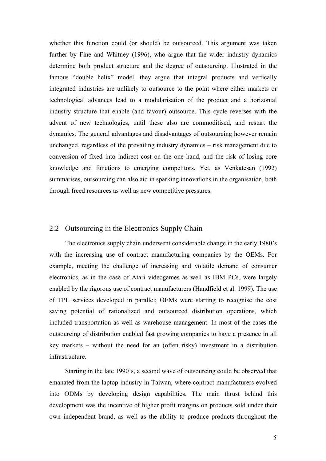whether this function could (or should) be outsourced. This argument was taken further by Fine and Whitney (1996), who argue that the wider industry dynamics determine both product structure and the degree of outsourcing. Illustrated in the famous "double helix" model, they argue that integral products and vertically integrated industries are unlikely to outsource to the point where either markets or technological advances lead to a modularisation of the product and a horizontal industry structure that enable (and favour) outsource. This cycle reverses with the advent of new technologies, until these also are commoditised, and restart the dynamics. The general advantages and disadvantages of outsourcing however remain unchanged, regardless of the prevailing industry dynamics – risk management due to conversion of fixed into indirect cost on the one hand, and the risk of losing core knowledge and functions to emerging competitors. Yet, as Venkatesan (1992) summarises, oursourcing can also aid in sparking innovations in the organisation, both through freed resources as well as new competitive pressures.

### 2.2 Outsourcing in the Electronics Supply Chain

The electronics supply chain underwent considerable change in the early 1980's with the increasing use of contract manufacturing companies by the OEMs. For example, meeting the challenge of increasing and volatile demand of consumer electronics, as in the case of Atari videogames as well as IBM PCs, were largely enabled by the rigorous use of contract manufacturers (Handfield et al. 1999). The use of TPL services developed in parallel; OEMs were starting to recognise the cost saving potential of rationalized and outsourced distribution operations, which included transportation as well as warehouse management. In most of the cases the outsourcing of distribution enabled fast growing companies to have a presence in all key markets – without the need for an (often risky) investment in a distribution infrastructure.

Starting in the late 1990's, a second wave of outsourcing could be observed that emanated from the laptop industry in Taiwan, where contract manufacturers evolved into ODMs by developing design capabilities. The main thrust behind this development was the incentive of higher profit margins on products sold under their own independent brand, as well as the ability to produce products throughout the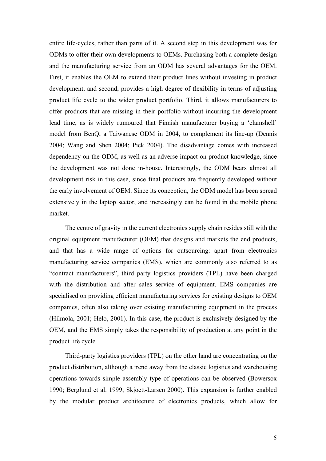entire life-cycles, rather than parts of it. A second step in this development was for ODMs to offer their own developments to OEMs. Purchasing both a complete design and the manufacturing service from an ODM has several advantages for the OEM. First, it enables the OEM to extend their product lines without investing in product development, and second, provides a high degree of flexibility in terms of adjusting product life cycle to the wider product portfolio. Third, it allows manufacturers to offer products that are missing in their portfolio without incurring the development lead time, as is widely rumoured that Finnish manufacturer buying a 'clamshell' model from BenQ, a Taiwanese ODM in 2004, to complement its line-up (Dennis 2004; Wang and Shen 2004; Pick 2004). The disadvantage comes with increased dependency on the ODM, as well as an adverse impact on product knowledge, since the development was not done in-house. Interestingly, the ODM bears almost all development risk in this case, since final products are frequently developed without the early involvement of OEM. Since its conception, the ODM model has been spread extensively in the laptop sector, and increasingly can be found in the mobile phone market.

The centre of gravity in the current electronics supply chain resides still with the original equipment manufacturer (OEM) that designs and markets the end products, and that has a wide range of options for outsourcing: apart from electronics manufacturing service companies (EMS), which are commonly also referred to as "contract manufacturers", third party logistics providers (TPL) have been charged with the distribution and after sales service of equipment. EMS companies are specialised on providing efficient manufacturing services for existing designs to OEM companies, often also taking over existing manufacturing equipment in the process (Hilmola, 2001; Helo, 2001). In this case, the product is exclusively designed by the OEM, and the EMS simply takes the responsibility of production at any point in the product life cycle.

Third-party logistics providers (TPL) on the other hand are concentrating on the product distribution, although a trend away from the classic logistics and warehousing operations towards simple assembly type of operations can be observed (Bowersox 1990; Berglund et al. 1999; Skjoett-Larsen 2000). This expansion is further enabled by the modular product architecture of electronics products, which allow for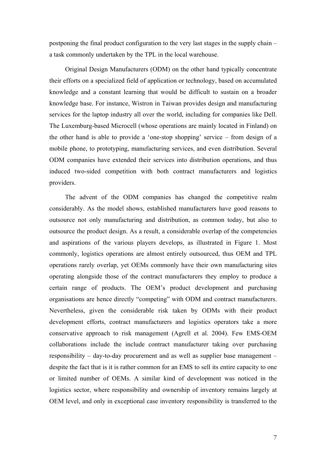postponing the final product configuration to the very last stages in the supply chain – a task commonly undertaken by the TPL in the local warehouse.

Original Design Manufacturers (ODM) on the other hand typically concentrate their efforts on a specialized field of application or technology, based on accumulated knowledge and a constant learning that would be difficult to sustain on a broader knowledge base. For instance, Wistron in Taiwan provides design and manufacturing services for the laptop industry all over the world, including for companies like Dell. The Luxemburg-based Microcell (whose operations are mainly located in Finland) on the other hand is able to provide a 'one-stop shopping' service – from design of a mobile phone, to prototyping, manufacturing services, and even distribution. Several ODM companies have extended their services into distribution operations, and thus induced two-sided competition with both contract manufacturers and logistics providers.

The advent of the ODM companies has changed the competitive realm considerably. As the model shows, established manufacturers have good reasons to outsource not only manufacturing and distribution, as common today, but also to outsource the product design. As a result, a considerable overlap of the competencies and aspirations of the various players develops, as illustrated in Figure 1. Most commonly, logistics operations are almost entirely outsourced, thus OEM and TPL operations rarely overlap, yet OEMs commonly have their own manufacturing sites operating alongside those of the contract manufacturers they employ to produce a certain range of products. The OEM's product development and purchasing organisations are hence directly "competing" with ODM and contract manufacturers. Nevertheless, given the considerable risk taken by ODMs with their product development efforts, contract manufacturers and logistics operators take a more conservative approach to risk management (Agrell et al. 2004). Few EMS-OEM collaborations include the include contract manufacturer taking over purchasing responsibility – day-to-day procurement and as well as supplier base management – despite the fact that is it is rather common for an EMS to sell its entire capacity to one or limited number of OEMs. A similar kind of development was noticed in the logistics sector, where responsibility and ownership of inventory remains largely at OEM level, and only in exceptional case inventory responsibility is transferred to the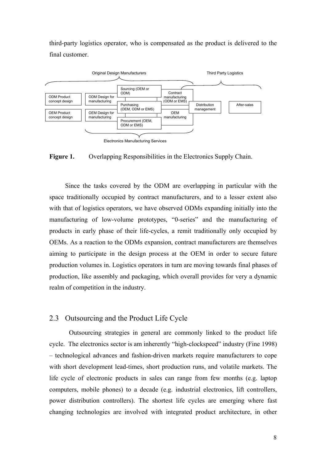third-party logistics operator, who is compensated as the product is delivered to the final customer.



**Figure 1.** Overlapping Responsibilities in the Electronics Supply Chain.

Since the tasks covered by the ODM are overlapping in particular with the space traditionally occupied by contract manufacturers, and to a lesser extent also with that of logistics operators, we have observed ODMs expanding initially into the manufacturing of low-volume prototypes, "0-series" and the manufacturing of products in early phase of their life-cycles, a remit traditionally only occupied by OEMs. As a reaction to the ODMs expansion, contract manufacturers are themselves aiming to participate in the design process at the OEM in order to secure future production volumes in. Logistics operators in turn are moving towards final phases of production, like assembly and packaging, which overall provides for very a dynamic realm of competition in the industry.

### 2.3 Outsourcing and the Product Life Cycle

Outsourcing strategies in general are commonly linked to the product life cycle. The electronics sector is am inherently "high-clockspeed" industry (Fine 1998) – technological advances and fashion-driven markets require manufacturers to cope with short development lead-times, short production runs, and volatile markets. The life cycle of electronic products in sales can range from few months (e.g. laptop computers, mobile phones) to a decade (e.g. industrial electronics, lift controllers, power distribution controllers). The shortest life cycles are emerging where fast changing technologies are involved with integrated product architecture, in other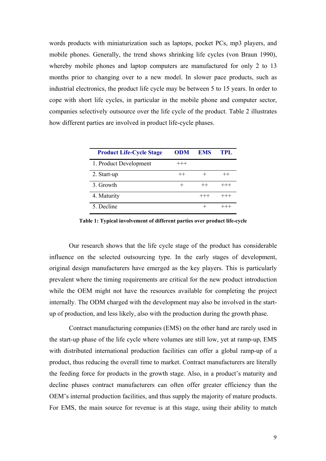words products with miniaturization such as laptops, pocket PCs, mp3 players, and mobile phones. Generally, the trend shows shrinking life cycles (von Braun 1990), whereby mobile phones and laptop computers are manufactured for only 2 to 13 months prior to changing over to a new model. In slower pace products, such as industrial electronics, the product life cycle may be between 5 to 15 years. In order to cope with short life cycles, in particular in the mobile phone and computer sector, companies selectively outsource over the life cycle of the product. Table 2 illustrates how different parties are involved in product life-cycle phases.

| <b>Product Life-Cycle Stage</b> | <b>ODM</b> | <b>EMS</b> | TPL      |
|---------------------------------|------------|------------|----------|
| 1. Product Development          | $^{+++}$   |            |          |
| 2. Start-up                     | $^{++}$    |            |          |
| 3. Growth                       |            | $^{++}$    | $+++$    |
| 4. Maturity                     |            |            | $^{+++}$ |
| 5. Decline                      |            |            |          |

**Table 1: Typical involvement of different parties over product life-cycle** 

Our research shows that the life cycle stage of the product has considerable influence on the selected outsourcing type. In the early stages of development, original design manufacturers have emerged as the key players. This is particularly prevalent where the timing requirements are critical for the new product introduction while the OEM might not have the resources available for completing the project internally. The ODM charged with the development may also be involved in the startup of production, and less likely, also with the production during the growth phase.

Contract manufacturing companies (EMS) on the other hand are rarely used in the start-up phase of the life cycle where volumes are still low, yet at ramp-up, EMS with distributed international production facilities can offer a global ramp-up of a product, thus reducing the overall time to market. Contract manufacturers are literally the feeding force for products in the growth stage. Also, in a product's maturity and decline phases contract manufacturers can often offer greater efficiency than the OEM's internal production facilities, and thus supply the majority of mature products. For EMS, the main source for revenue is at this stage, using their ability to match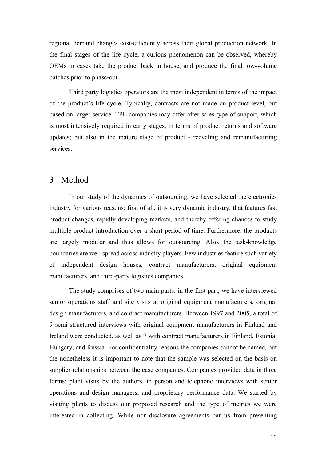regional demand changes cost-efficiently across their global production network. In the final stages of the life cycle, a curious phenomenon can be observed, whereby OEMs in cases take the product back in house, and produce the final low-volume batches prior to phase-out.

Third party logistics operators are the most independent in terms of the impact of the product's life cycle. Typically, contracts are not made on product level, but based on larger service. TPL companies may offer after-sales type of support, which is most intensively required in early stages, in terms of product returns and software updates; but also in the mature stage of product - recycling and remanufacturing services.

## 3 Method

In our study of the dynamics of outsourcing, we have selected the electronics industry for various reasons: first of all, it is very dynamic industry, that features fast product changes, rapidly developing markets, and thereby offering chances to study multiple product introduction over a short period of time. Furthermore, the products are largely modular and thus allows for outsourcing. Also, the task-knowledge boundaries are well spread across industry players. Few industries feature such variety of independent design houses, contract manufacturers, original equipment manufacturers, and third-party logistics companies.

The study comprises of two main parts: in the first part, we have interviewed senior operations staff and site visits at original equipment manufacturers, original design manufacturers, and contract manufacturers. Between 1997 and 2005, a total of 9 semi-structured interviews with original equipment manufacturers in Finland and Ireland were conducted, as well as 7 with contract manufacturers in Finland, Estonia, Hungary, and Russia. For confidentiality reasons the companies cannot be named, but the nonetheless it is important to note that the sample was selected on the basis on supplier relationships between the case companies. Companies provided data in three forms: plant visits by the authors, in person and telephone interviews with senior operations and design managers, and proprietary performance data. We started by visiting plants to discuss our proposed research and the type of metrics we were interested in collecting. While non-disclosure agreements bar us from presenting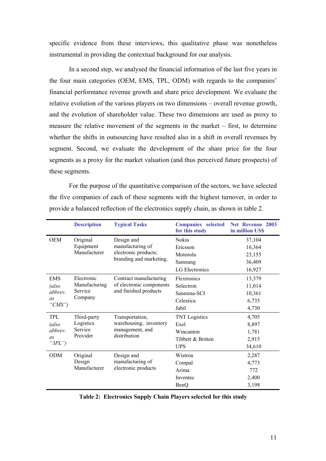specific evidence from these interviews, this qualitative phase was nonetheless instrumental in providing the contextual background for our analysis.

In a second step, we analysed the financial information of the last five years in the four main categories (OEM, EMS, TPL, ODM) with regards to the companies' financial performance revenue growth and share price development. We evaluate the relative evolution of the various players on two dimensions – overall revenue growth, and the evolution of shareholder value. These two dimensions are used as proxy to measure the relative movement of the segments in the market – first, to determine whether the shifts in outsourcing have resulted also in a shift in overall revenues by segment. Second, we evaluate the development of the share price for the four segments as a proxy for the market valuation (and thus perceived future prospects) of these segments.

For the purpose of the quantitative comparison of the sectors, we have selected the five companies of each of these segments with the highest turnover, in order to provide a balanced reflection of the electronics supply chain, as shown in table 2.

|                                             | <b>Description</b>                                | <b>Typical Tasks</b>                                                              | <b>Companies</b> selected<br>for this study | Net Revenue 2003<br>in million US\$ |
|---------------------------------------------|---------------------------------------------------|-----------------------------------------------------------------------------------|---------------------------------------------|-------------------------------------|
| <b>OEM</b>                                  | Original<br>Equipment<br>Manufacturer             | Design and<br>manufacturing of<br>electronic products;<br>branding and marketing. | Nokia                                       | 37,104                              |
|                                             |                                                   |                                                                                   | Ericsson                                    | 16,364                              |
|                                             |                                                   |                                                                                   | Motorola                                    | 23,155                              |
|                                             |                                                   |                                                                                   | Samsung                                     | 36,409                              |
|                                             |                                                   |                                                                                   | <b>LG</b> Electronics                       | 16,927                              |
| EMS                                         | Electronic<br>Manufacturing<br>Service<br>Company | Contract manufacturing<br>of electronic components<br>and finished products       | Flextronics                                 | 13,379                              |
| (also<br>abbrev.<br>as<br>"CMS")            |                                                   |                                                                                   | Solectron                                   | 11,014                              |
|                                             |                                                   |                                                                                   | Sanmina-SCI                                 | 10,361                              |
|                                             |                                                   |                                                                                   | Celestica                                   | 6,735                               |
|                                             |                                                   |                                                                                   | Jabil                                       | 4,730                               |
| TPL<br>(also<br>abbrev.<br>as<br>" $3PL$ ") | Third-party<br>Logistics<br>Service<br>Provider   | Transportation,<br>warehousing, inventory<br>management, and<br>distribution      | <b>TNT</b> Logistics                        | 4,705                               |
|                                             |                                                   |                                                                                   | Exel                                        | 8,897                               |
|                                             |                                                   |                                                                                   | Wincanton                                   | 1,781                               |
|                                             |                                                   |                                                                                   | Tibbett & Britten                           | 2,915                               |
|                                             |                                                   |                                                                                   | <b>UPS</b>                                  | 34,610                              |
| ODM                                         | Original<br>Design<br>Manufacturer                | Design and<br>manufacturing of<br>electronic products                             | Wistron                                     | 2,287                               |
|                                             |                                                   |                                                                                   | Compal                                      | 4,773                               |
|                                             |                                                   |                                                                                   | Arima                                       | 772                                 |
|                                             |                                                   |                                                                                   | Inventec                                    | 2,400                               |
|                                             |                                                   |                                                                                   | BenQ                                        | 3,198                               |

**Table 2: Electronics Supply Chain Players selected for this study**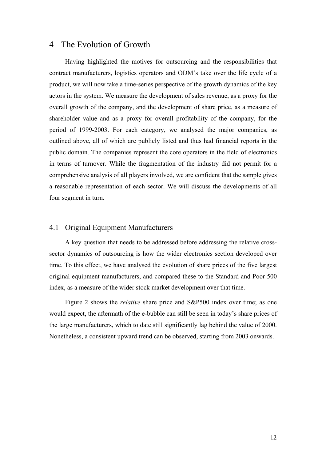## 4 The Evolution of Growth

Having highlighted the motives for outsourcing and the responsibilities that contract manufacturers, logistics operators and ODM's take over the life cycle of a product, we will now take a time-series perspective of the growth dynamics of the key actors in the system. We measure the development of sales revenue, as a proxy for the overall growth of the company, and the development of share price, as a measure of shareholder value and as a proxy for overall profitability of the company, for the period of 1999-2003. For each category, we analysed the major companies, as outlined above, all of which are publicly listed and thus had financial reports in the public domain. The companies represent the core operators in the field of electronics in terms of turnover. While the fragmentation of the industry did not permit for a comprehensive analysis of all players involved, we are confident that the sample gives a reasonable representation of each sector. We will discuss the developments of all four segment in turn.

### 4.1 Original Equipment Manufacturers

A key question that needs to be addressed before addressing the relative crosssector dynamics of outsourcing is how the wider electronics section developed over time. To this effect, we have analysed the evolution of share prices of the five largest original equipment manufacturers, and compared these to the Standard and Poor 500 index, as a measure of the wider stock market development over that time.

Figure 2 shows the *relative* share price and S&P500 index over time; as one would expect, the aftermath of the e-bubble can still be seen in today's share prices of the large manufacturers, which to date still significantly lag behind the value of 2000. Nonetheless, a consistent upward trend can be observed, starting from 2003 onwards.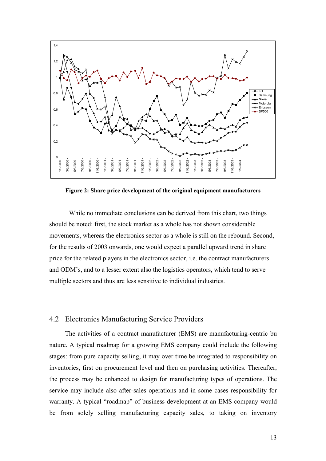

**Figure 2: Share price development of the original equipment manufacturers** 

 While no immediate conclusions can be derived from this chart, two things should be noted: first, the stock market as a whole has not shown considerable movements, whereas the electronics sector as a whole is still on the rebound. Second, for the results of 2003 onwards, one would expect a parallel upward trend in share price for the related players in the electronics sector, i.e. the contract manufacturers and ODM's, and to a lesser extent also the logistics operators, which tend to serve multiple sectors and thus are less sensitive to individual industries.

#### 4.2 Electronics Manufacturing Service Providers

The activities of a contract manufacturer (EMS) are manufacturing-centric bu nature. A typical roadmap for a growing EMS company could include the following stages: from pure capacity selling, it may over time be integrated to responsibility on inventories, first on procurement level and then on purchasing activities. Thereafter, the process may be enhanced to design for manufacturing types of operations. The service may include also after-sales operations and in some cases responsibility for warranty. A typical "roadmap" of business development at an EMS company would be from solely selling manufacturing capacity sales, to taking on inventory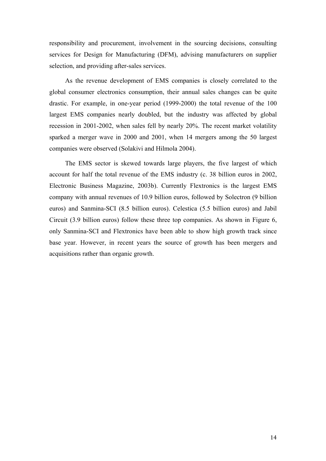responsibility and procurement, involvement in the sourcing decisions, consulting services for Design for Manufacturing (DFM), advising manufacturers on supplier selection, and providing after-sales services.

As the revenue development of EMS companies is closely correlated to the global consumer electronics consumption, their annual sales changes can be quite drastic. For example, in one-year period (1999-2000) the total revenue of the 100 largest EMS companies nearly doubled, but the industry was affected by global recession in 2001-2002, when sales fell by nearly 20%. The recent market volatility sparked a merger wave in 2000 and 2001, when 14 mergers among the 50 largest companies were observed (Solakivi and Hilmola 2004).

The EMS sector is skewed towards large players, the five largest of which account for half the total revenue of the EMS industry (c. 38 billion euros in 2002, Electronic Business Magazine, 2003b). Currently Flextronics is the largest EMS company with annual revenues of 10.9 billion euros, followed by Solectron (9 billion euros) and Sanmina-SCI (8.5 billion euros). Celestica (5.5 billion euros) and Jabil Circuit (3.9 billion euros) follow these three top companies. As shown in Figure 6, only Sanmina-SCI and Flextronics have been able to show high growth track since base year. However, in recent years the source of growth has been mergers and acquisitions rather than organic growth.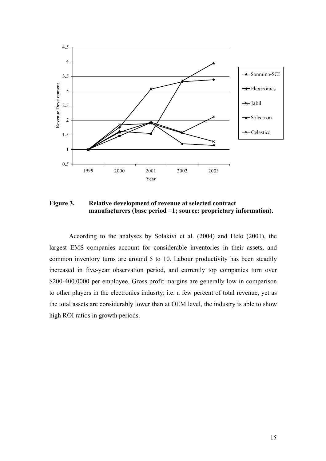

**Figure 3. Relative development of revenue at selected contract manufacturers (base period =1; source: proprietary information).** 

According to the analyses by Solakivi et al. (2004) and Helo (2001), the largest EMS companies account for considerable inventories in their assets, and common inventory turns are around 5 to 10. Labour productivity has been steadily increased in five-year observation period, and currently top companies turn over \$200-400,0000 per employee. Gross profit margins are generally low in comparison to other players in the electronics indusrty, i.e. a few percent of total revenue, yet as the total assets are considerably lower than at OEM level, the industry is able to show high ROI ratios in growth periods.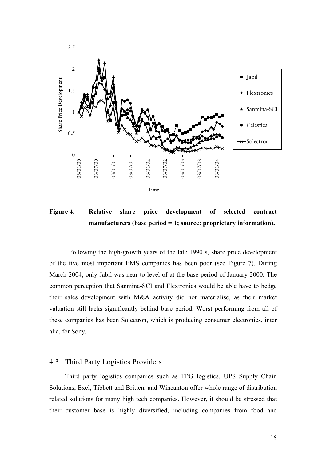

**Figure 4. Relative share price development of selected contract manufacturers (base period = 1; source: proprietary information).** 

Following the high-growth years of the late 1990's, share price development of the five most important EMS companies has been poor (see Figure 7). During March 2004, only Jabil was near to level of at the base period of January 2000. The common perception that Sanmina-SCI and Flextronics would be able have to hedge their sales development with M&A activity did not materialise, as their market valuation still lacks significantly behind base period. Worst performing from all of these companies has been Solectron, which is producing consumer electronics, inter alia, for Sony.

#### 4.3 Third Party Logistics Providers

Third party logistics companies such as TPG logistics, UPS Supply Chain Solutions, Exel, Tibbett and Britten, and Wincanton offer whole range of distribution related solutions for many high tech companies. However, it should be stressed that their customer base is highly diversified, including companies from food and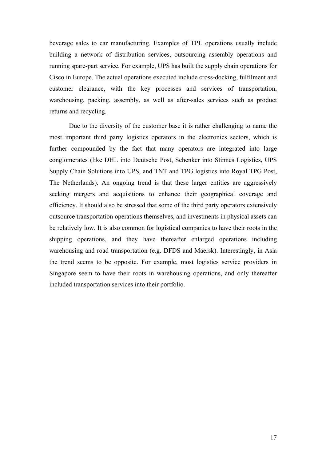beverage sales to car manufacturing. Examples of TPL operations usually include building a network of distribution services, outsourcing assembly operations and running spare-part service. For example, UPS has built the supply chain operations for Cisco in Europe. The actual operations executed include cross-docking, fulfilment and customer clearance, with the key processes and services of transportation, warehousing, packing, assembly, as well as after-sales services such as product returns and recycling.

Due to the diversity of the customer base it is rather challenging to name the most important third party logistics operators in the electronics sectors, which is further compounded by the fact that many operators are integrated into large conglomerates (like DHL into Deutsche Post, Schenker into Stinnes Logistics, UPS Supply Chain Solutions into UPS, and TNT and TPG logistics into Royal TPG Post, The Netherlands). An ongoing trend is that these larger entities are aggressively seeking mergers and acquisitions to enhance their geographical coverage and efficiency. It should also be stressed that some of the third party operators extensively outsource transportation operations themselves, and investments in physical assets can be relatively low. It is also common for logistical companies to have their roots in the shipping operations, and they have thereafter enlarged operations including warehousing and road transportation (e.g. DFDS and Maersk). Interestingly, in Asia the trend seems to be opposite. For example, most logistics service providers in Singapore seem to have their roots in warehousing operations, and only thereafter included transportation services into their portfolio.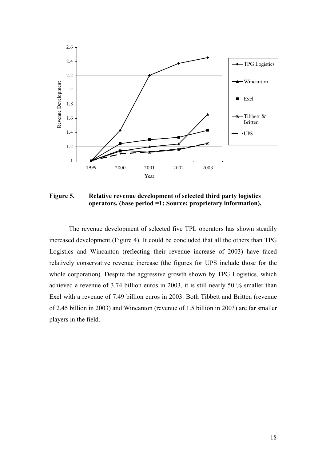

**Figure 5. Relative revenue development of selected third party logistics operators. (base period =1; Source: proprietary information).** 

The revenue development of selected five TPL operators has shown steadily increased development (Figure 4). It could be concluded that all the others than TPG Logistics and Wincanton (reflecting their revenue increase of 2003) have faced relatively conservative revenue increase (the figures for UPS include those for the whole corporation). Despite the aggressive growth shown by TPG Logistics, which achieved a revenue of 3.74 billion euros in 2003, it is still nearly 50 % smaller than Exel with a revenue of 7.49 billion euros in 2003. Both Tibbett and Britten (revenue of 2.45 billion in 2003) and Wincanton (revenue of 1.5 billion in 2003) are far smaller players in the field.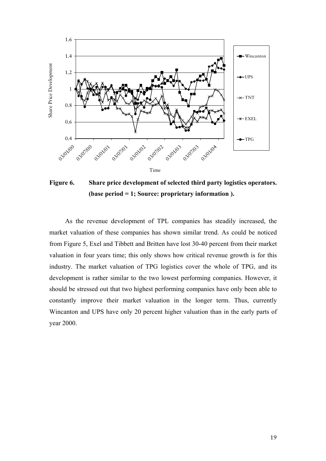

**Figure 6. Share price development of selected third party logistics operators. (base period = 1; Source: proprietary information ).**

As the revenue development of TPL companies has steadily increased, the market valuation of these companies has shown similar trend. As could be noticed from Figure 5, Exel and Tibbett and Britten have lost 30-40 percent from their market valuation in four years time; this only shows how critical revenue growth is for this industry. The market valuation of TPG logistics cover the whole of TPG, and its development is rather similar to the two lowest performing companies. However, it should be stressed out that two highest performing companies have only been able to constantly improve their market valuation in the longer term. Thus, currently Wincanton and UPS have only 20 percent higher valuation than in the early parts of year 2000.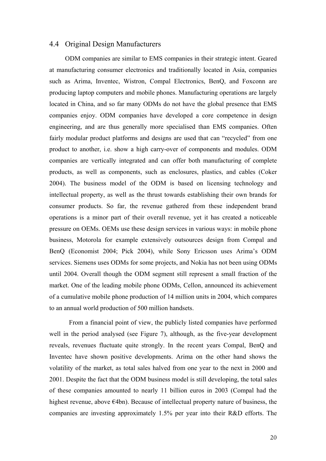### 4.4 Original Design Manufacturers

ODM companies are similar to EMS companies in their strategic intent. Geared at manufacturing consumer electronics and traditionally located in Asia, companies such as Arima, Inventec, Wistron, Compal Electronics, BenQ, and Foxconn are producing laptop computers and mobile phones. Manufacturing operations are largely located in China, and so far many ODMs do not have the global presence that EMS companies enjoy. ODM companies have developed a core competence in design engineering, and are thus generally more specialised than EMS companies. Often fairly modular product platforms and designs are used that can "recycled" from one product to another, i.e. show a high carry-over of components and modules. ODM companies are vertically integrated and can offer both manufacturing of complete products, as well as components, such as enclosures, plastics, and cables (Coker 2004). The business model of the ODM is based on licensing technology and intellectual property, as well as the thrust towards establishing their own brands for consumer products. So far, the revenue gathered from these independent brand operations is a minor part of their overall revenue, yet it has created a noticeable pressure on OEMs. OEMs use these design services in various ways: in mobile phone business, Motorola for example extensively outsources design from Compal and BenQ (Economist 2004; Pick 2004), while Sony Ericsson uses Arima's ODM services. Siemens uses ODMs for some projects, and Nokia has not been using ODMs until 2004. Overall though the ODM segment still represent a small fraction of the market. One of the leading mobile phone ODMs, Cellon, announced its achievement of a cumulative mobile phone production of 14 million units in 2004, which compares to an annual world production of 500 million handsets.

From a financial point of view, the publicly listed companies have performed well in the period analysed (see Figure 7), although, as the five-year development reveals, revenues fluctuate quite strongly. In the recent years Compal, BenQ and Inventec have shown positive developments. Arima on the other hand shows the volatility of the market, as total sales halved from one year to the next in 2000 and 2001. Despite the fact that the ODM business model is still developing, the total sales of these companies amounted to nearly 11 billion euros in 2003 (Compal had the highest revenue, above €4bn). Because of intellectual property nature of business, the companies are investing approximately 1.5% per year into their R&D efforts. The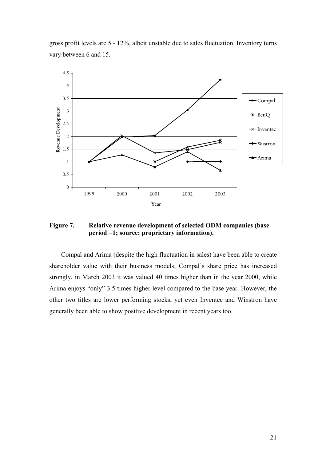gross profit levels are 5 - 12%, albeit unstable due to sales fluctuation. Inventory turns vary between 6 and 15.



**Figure 7. Relative revenue development of selected ODM companies (base period =1; source: proprietary information).** 

Compal and Arima (despite the high fluctuation in sales) have been able to create shareholder value with their business models; Compal's share price has increased strongly, in March 2003 it was valued 40 times higher than in the year 2000, while Arima enjoys "only" 3.5 times higher level compared to the base year. However, the other two titles are lower performing stocks, yet even Inventec and Winstron have generally been able to show positive development in recent years too.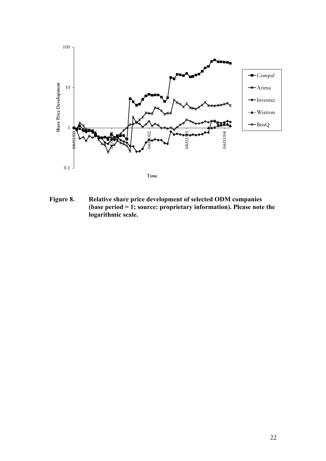

**Figure 8. Relative share price development of selected ODM companies (base period = 1; source: proprietary information). Please note the logarithmic scale.**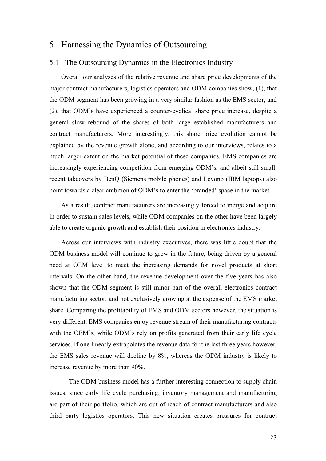## 5 Harnessing the Dynamics of Outsourcing

#### 5.1 The Outsourcing Dynamics in the Electronics Industry

Overall our analyses of the relative revenue and share price developments of the major contract manufacturers, logistics operators and ODM companies show, (1), that the ODM segment has been growing in a very similar fashion as the EMS sector, and (2), that ODM's have experienced a counter-cyclical share price increase, despite a general slow rebound of the shares of both large established manufacturers and contract manufacturers. More interestingly, this share price evolution cannot be explained by the revenue growth alone, and according to our interviews, relates to a much larger extent on the market potential of these companies. EMS companies are increasingly experiencing competition from emerging ODM's, and albeit still small, recent takeovers by BenQ (Siemens mobile phones) and Levono (IBM laptops) also point towards a clear ambition of ODM's to enter the 'branded' space in the market.

As a result, contract manufacturers are increasingly forced to merge and acquire in order to sustain sales levels, while ODM companies on the other have been largely able to create organic growth and establish their position in electronics industry.

Across our interviews with industry executives, there was little doubt that the ODM business model will continue to grow in the future, being driven by a general need at OEM level to meet the increasing demands for novel products at short intervals. On the other hand, the revenue development over the five years has also shown that the ODM segment is still minor part of the overall electronics contract manufacturing sector, and not exclusively growing at the expense of the EMS market share. Comparing the profitability of EMS and ODM sectors however, the situation is very different. EMS companies enjoy revenue stream of their manufacturing contracts with the OEM's, while ODM's rely on profits generated from their early life cycle services. If one linearly extrapolates the revenue data for the last three years however, the EMS sales revenue will decline by 8%, whereas the ODM industry is likely to increase revenue by more than 90%.

The ODM business model has a further interesting connection to supply chain issues, since early life cycle purchasing, inventory management and manufacturing are part of their portfolio, which are out of reach of contract manufacturers and also third party logistics operators. This new situation creates pressures for contract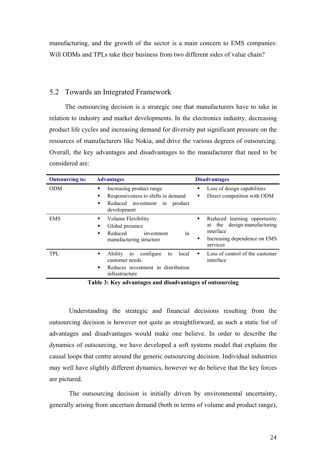manufacturing, and the growth of the sector is a main concern to EMS companies: Will ODMs and TPLs take their business from two different sides of value chain?

#### 5.2 Towards an Integrated Framework

The outsourcing decision is a strategic one that manufacturers have to take in relation to industry and market developments. In the electronics industry, decreasing product life cycles and increasing demand for diversity put significant pressure on the resources of manufacturers like Nokia, and drive the various degrees of outsourcing. Overall, the key advantages and disadvantages to the manufacturer that need to be considered are:

| <b>Outsourcing to:</b> | <b>Advantages</b>                                                                                                             | <b>Disadvantages</b>                                                                                                              |  |  |
|------------------------|-------------------------------------------------------------------------------------------------------------------------------|-----------------------------------------------------------------------------------------------------------------------------------|--|--|
| <b>ODM</b>             | Increasing product range<br>٠<br>Responsiveness to shifts in demand<br>٠<br>Reduced investment in product<br>٠<br>development | Loss of design capabilities<br>٠<br>Direct competition with ODM<br>٠                                                              |  |  |
| <b>EMS</b>             | Volume Flexibility<br>٠<br>Global presence<br>٠<br>Reduced<br>investment<br>in<br>manufacturing structure                     | Reduced learning opportunity<br>٠<br>the design-manufacturing<br>at<br>interface<br>Increasing dependence on EMS<br>٠<br>services |  |  |
| TPL.                   | Ability<br>configure<br>local<br>٠<br>to<br>to<br>customer needs<br>Reduces investment in distribution<br>٠<br>infrastructure | Loss of control of the customer<br>interface                                                                                      |  |  |

**Table 3: Key advantages and disadvantages of outsourcing** 

Understanding the strategic and financial decisions resulting from the outsourcing decision is however not quite as straightforward, as such a static list of advantages and disadvantages would make one believe. In order to describe the dynamics of outsourcing, we have developed a soft systems model that explains the causal loops that centre around the generic outsourcing decision. Individual industries may well have slightly different dynamics, however we do believe that the key forces are pictured.

 The outsourcing decision is initially driven by environmental uncertainty, generally arising from uncertain demand (both in terms of volume and product range),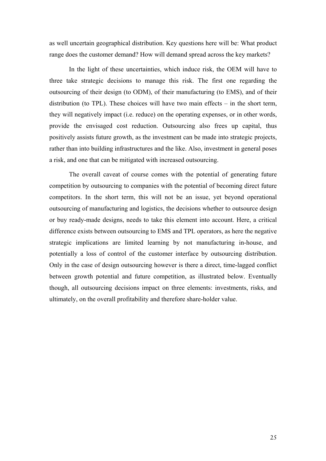as well uncertain geographical distribution. Key questions here will be: What product range does the customer demand? How will demand spread across the key markets?

 In the light of these uncertainties, which induce risk, the OEM will have to three take strategic decisions to manage this risk. The first one regarding the outsourcing of their design (to ODM), of their manufacturing (to EMS), and of their distribution (to TPL). These choices will have two main effects – in the short term, they will negatively impact (i.e. reduce) on the operating expenses, or in other words, provide the envisaged cost reduction. Outsourcing also frees up capital, thus positively assists future growth, as the investment can be made into strategic projects, rather than into building infrastructures and the like. Also, investment in general poses a risk, and one that can be mitigated with increased outsourcing.

The overall caveat of course comes with the potential of generating future competition by outsourcing to companies with the potential of becoming direct future competitors. In the short term, this will not be an issue, yet beyond operational outsourcing of manufacturing and logistics, the decisions whether to outsource design or buy ready-made designs, needs to take this element into account. Here, a critical difference exists between outsourcing to EMS and TPL operators, as here the negative strategic implications are limited learning by not manufacturing in-house, and potentially a loss of control of the customer interface by outsourcing distribution. Only in the case of design outsourcing however is there a direct, time-lagged conflict between growth potential and future competition, as illustrated below. Eventually though, all outsourcing decisions impact on three elements: investments, risks, and ultimately, on the overall profitability and therefore share-holder value.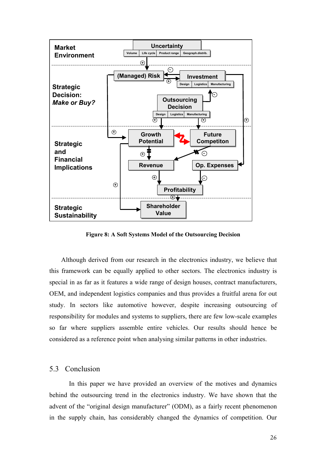

**Figure 8: A Soft Systems Model of the Outsourcing Decision** 

Although derived from our research in the electronics industry, we believe that this framework can be equally applied to other sectors. The electronics industry is special in as far as it features a wide range of design houses, contract manufacturers, OEM, and independent logistics companies and thus provides a fruitful arena for out study. In sectors like automotive however, despite increasing outsourcing of responsibility for modules and systems to suppliers, there are few low-scale examples so far where suppliers assemble entire vehicles. Our results should hence be considered as a reference point when analysing similar patterns in other industries.

### 5.3 Conclusion

In this paper we have provided an overview of the motives and dynamics behind the outsourcing trend in the electronics industry. We have shown that the advent of the "original design manufacturer" (ODM), as a fairly recent phenomenon in the supply chain, has considerably changed the dynamics of competition. Our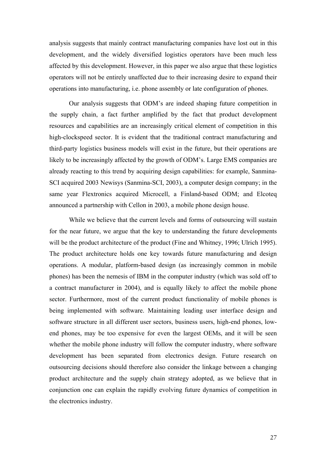analysis suggests that mainly contract manufacturing companies have lost out in this development, and the widely diversified logistics operators have been much less affected by this development. However, in this paper we also argue that these logistics operators will not be entirely unaffected due to their increasing desire to expand their operations into manufacturing, i.e. phone assembly or late configuration of phones.

Our analysis suggests that ODM's are indeed shaping future competition in the supply chain, a fact further amplified by the fact that product development resources and capabilities are an increasingly critical element of competition in this high-clockspeed sector. It is evident that the traditional contract manufacturing and third-party logistics business models will exist in the future, but their operations are likely to be increasingly affected by the growth of ODM's. Large EMS companies are already reacting to this trend by acquiring design capabilities: for example, Sanmina-SCI acquired 2003 Newisys (Sanmina-SCI, 2003), a computer design company; in the same year Flextronics acquired Microcell, a Finland-based ODM; and Elcoteq announced a partnership with Cellon in 2003, a mobile phone design house.

While we believe that the current levels and forms of outsourcing will sustain for the near future, we argue that the key to understanding the future developments will be the product architecture of the product (Fine and Whitney, 1996; Ulrich 1995). The product architecture holds one key towards future manufacturing and design operations. A modular, platform-based design (as increasingly common in mobile phones) has been the nemesis of IBM in the computer industry (which was sold off to a contract manufacturer in 2004), and is equally likely to affect the mobile phone sector. Furthermore, most of the current product functionality of mobile phones is being implemented with software. Maintaining leading user interface design and software structure in all different user sectors, business users, high-end phones, lowend phones, may be too expensive for even the largest OEMs, and it will be seen whether the mobile phone industry will follow the computer industry, where software development has been separated from electronics design. Future research on outsourcing decisions should therefore also consider the linkage between a changing product architecture and the supply chain strategy adopted, as we believe that in conjunction one can explain the rapidly evolving future dynamics of competition in the electronics industry.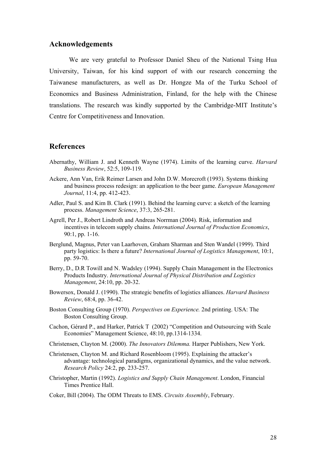#### **Acknowledgements**

We are very grateful to Professor Daniel Sheu of the National Tsing Hua University, Taiwan, for his kind support of with our research concerning the Taiwanese manufacturers, as well as Dr. Hongze Ma of the Turku School of Economics and Business Administration, Finland, for the help with the Chinese translations. The research was kindly supported by the Cambridge-MIT Institute's Centre for Competitiveness and Innovation.

#### **References**

- Abernathy, William J. and Kenneth Wayne (1974). Limits of the learning curve. *Harvard Business Review*, 52:5, 109-119.
- Ackere, Ann Van, Erik Reimer Larsen and John D.W. Morecroft (1993). Systems thinking and business process redesign: an application to the beer game. *European Management Journal*, 11:4, pp. 412-423.
- Adler, Paul S. and Kim B. Clark (1991). Behind the learning curve: a sketch of the learning process. *Management Science*, 37:3, 265-281.
- Agrell, Per J., Robert Lindroth and Andreas Norrman (2004). Risk, information and incentives in telecom supply chains. *International Journal of Production Economics*, 90:1, pp. 1-16.
- Berglund, Magnus, Peter van Laarhoven, Graham Sharman and Sten Wandel (1999). Third party logistics: Is there a future? *International Journal of Logistics Management*, 10:1, pp. 59-70.
- Berry, D., D.R Towill and N. Wadsley (1994). Supply Chain Management in the Electronics Products Industry. *International Journal of Physical Distribution and Logistics Management*, 24:10, pp. 20-32.
- Bowersox, Donald J. (1990). The strategic benefits of logistics alliances. *Harvard Business Review*, 68:4, pp. 36-42.
- Boston Consulting Group (1970). *Perspectives on Experience.* 2nd printing. USA: The Boston Consulting Group.
- Cachon, Gérard P., and Harker, Patrick T (2002) "Competition and Outsourcing with Scale Economies" Management Science, 48:10, pp.1314-1334.
- Christensen, Clayton M. (2000). *The Innovators Dilemma.* Harper Publishers, New York.
- Christensen, Clayton M. and Richard Rosenbloom (1995). Explaining the attacker's advantage: technological paradigms, organizational dynamics, and the value network. *Research Policy* 24:2, pp. 233-257.
- Christopher, Martin (1992). *Logistics and Supply Chain Management*. London, Financial Times Prentice Hall.

Coker, Bill (2004). The ODM Threats to EMS. *Circuits Assembly*, February.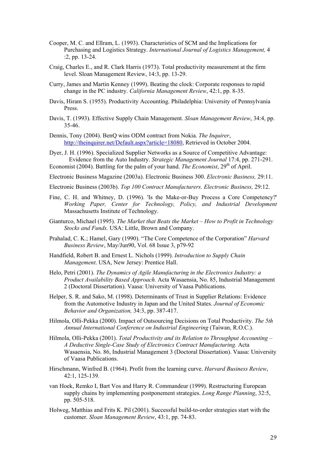- Cooper, M. C. and Ellram, L. (1993). Characteristics of SCM and the Implications for Purchasing and Logistics Strategy. *International Journal of Logistics Management,* 4 :2, pp. 13-24.
- Craig, Charles E., and R. Clark Harris (1973). Total productivity measurement at the firm level. Sloan Management Review, 14:3, pp. 13-29.
- Curry, James and Martin Kenney (1999). Beating the clock: Corporate responses to rapid change in the PC industry. *California Management Review*, 42:1, pp. 8-35.
- Davis, Hiram S. (1955). Productivity Accounting. Philadelphia: University of Pennsylvania Press.
- Davis, T. (1993). Effective Supply Chain Management. *Sloan Management Review*, 34:4, pp. 35-46.
- Dennis, Tony (2004). BenQ wins ODM contract from Nokia. *The Inquirer*, http://theinquirer.net/Default.aspx?article=18080, Retrieved in October 2004.
- Dyer, J. H. (1996). Specialized Supplier Networks as a Source of Competitive Advantage: Evidence from the Auto Industry. *Strategic Management Journal* 17:4, pp. 271-291. Economist (2004). Battling for the palm of your hand. *The Economist*, 29<sup>th</sup> of April.
- Electronic Business Magazine (2003a). Electronic Business 300. *Electronic Business,* 29:11.
- Electronic Business (2003b). *Top 100 Contract Manufacturers. Electronic Business,* 29:12.
- Fine, C. H. and Whitney, D. (1996). 'Is the Make-or-Buy Process a Core Competency?' *Working Paper, Center for Technology, Policy, and Industrial Development* Massachusetts Institute of Technology.
- Gianturco, Michael (1995). *The Market that Beats the Market How to Profit in Technology Stocks and Funds.* USA: Little, Brown and Company.
- Prahalad, C. K.; Hamel, Gary (1990). "The Core Competence of the Corporation" *Harvard Business Review*, May/Jun90, Vol. 68 Issue 3, p79-92
- Handfield, Robert B. and Ernest L. Nichols (1999). *Introduction to Supply Chain Management*. USA, New Jersey: Prentice Hall.
- Helo, Petri (2001). *The Dynamics of Agile Manufacturing in the Electronics Industry: a Product Availability Based Approach.* Acta Wasaensia, No. 85, Industrial Management 2 (Doctoral Dissertation). Vaasa: University of Vaasa Publications.
- Helper, S. R. and Sako, M. (1998). Determinants of Trust in Supplier Relations: Evidence from the Automotive Industry in Japan and the United States. *Journal of Economic Behavior and Organization,* 34:3, pp. 387-417.
- Hilmola, Olli-Pekka (2000). Impact of Outsourcing Decisions on Total Productivity. *The 5th Annual International Conference on Industrial Engineering* (Taiwan, R.O.C.).
- Hilmola, Olli-Pekka (2001). *Total Productivity and its Relation to Throughput Accounting A Deductive Single-Case Study of Electronics Contract Manufacturing.* Acta Wasaensia, No. 86, Industrial Management 3 (Doctoral Dissertation). Vaasa: University of Vaasa Publications.
- Hirschmann, Winfred B. (1964). Profit from the learning curve. *Harvard Business Review*, 42:1, 125-139.
- van Hoek, Remko I, Bart Vos and Harry R. Commandeur (1999). Restructuring European supply chains by implementing postponement strategies. *Long Range Planning*, 32:5, pp. 505-518.
- Holweg, Matthias and Frits K. Pil (2001). Successful build-to-order strategies start with the customer. *Sloan Management Review*, 43:1, pp. 74-83.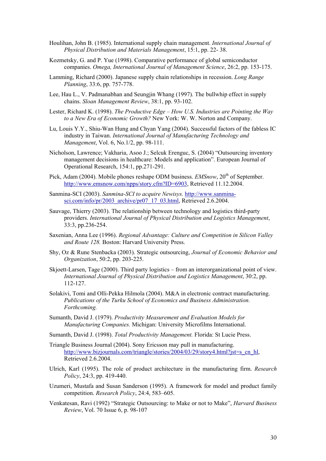- Houlihan, John B. (1985). International supply chain management. *International Journal of Physical Distribution and Materials Management*, 15:1, pp. 22- 38.
- Kozmetsky, G. and P. Yue (1998). Comparative performance of global semiconductor companies. *Omega, International Journal of Management Science*, 26:2, pp. 153-175.
- Lamming, Richard (2000). Japanese supply chain relationships in recession. *Long Range Planning*, 33:6, pp. 757-778.
- Lee, Hau L., V. Padmanabhan and Seungjin Whang (1997). The bullwhip effect in supply chains. *Sloan Management Review*, 38:1, pp. 93-102.
- Lester, Richard K. (1998). *The Productive Edge How U.S. Industries are Pointing the Way to a New Era of Economic Growth?* New York: W. W. Norton and Company.
- Lu, Louis Y.Y., Shiu-Wan Hung and Chyan Yang (2004). Successful factors of the fabless IC industry in Taiwan. *International Journal of Manufacturing Technology and Management*, Vol. 6, No.1/2, pp. 98-111.
- Nicholson, Lawrence; Vakharia, Asoo J.; Selcuk Erenguc, S. (2004) "Outsourcing inventory management decisions in healthcare: Models and application". European Journal of Operational Research, 154:1, pp.271-291.
- Pick, Adam (2004). Mobile phones reshape ODM business. *EMSnow*. 20<sup>th</sup> of September. http://www.emsnow.com/npps/story.cfm?ID=6903, Retrieved 11.12.2004.
- Sanmina-SCI (2003). *Sanmina-SCI to acquire Newisys.* http://www.sanminasci.com/info/pr/2003\_archive/pr07\_17\_03.html, Retrieved 2.6.2004.
- Sauvage, Thierry (2003). The relationship between technology and logistics third-party providers. *International Journal of Physical Distribution and Logistics Management*, 33:3, pp.236-254.
- Saxenian, Anna Lee (1996). *Regional Advantage: Culture and Competition in Silicon Valley and Route 128.* Boston: Harvard University Press.
- Shy, Oz & Rune Stenbacka (2003). Strategic outsourcing, *Journal of Economic Behavior and Organization*, 50:2, pp. 203-225.
- Skjoett-Larsen, Tage (2000). Third party logistics from an interorganizational point of view. *International Journal of Physical Distribution and Logistics Management*, 30:2, pp. 112-127.
- Solakivi, Tomi and Olli-Pekka Hilmola (2004). M&A in electronic contract manufacturing. *Publications of the Turku School of Economics and Business Administration. Forthcoming.*
- Sumanth, David J. (1979). *Productivity Measurement and Evaluation Models for Manufacturing Companies.* Michigan: University Microfilms International.
- Sumanth, David J. (1998). *Total Productivity Management.* Florida: St Lucie Press.
- Triangle Business Journal (2004). Sony Ericsson may pull in manufacturing. http://www.bizjournals.com/triangle/stories/2004/03/29/story4.html?jst=s\_cn\_hl, Retrieved 2.6.2004.
- Ulrich, Karl (1995). The role of product architecture in the manufacturing firm. *Research Policy*, 24:3, pp. 419-440.
- Uzumeri, Mustafa and Susan Sanderson (1995). A framework for model and product family competition. *Research Policy*, 24:4, 583–605.
- Venkatesan, Ravi (1992) "Strategic Outsourcing: to Make or not to Make", *Harvard Business Review*, Vol. 70 Issue 6, p. 98-107